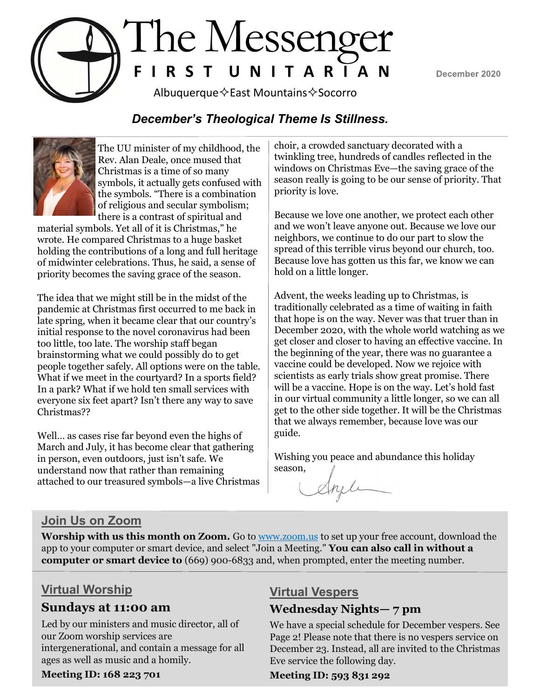December 2020



Albuquerque $\diamond$ East Mountains $\diamond$ Socorro

### *December's Theological Theme Is Stillness.*



The UU minister of my childhood, the Rev. Alan Deale, once mused that Christmas is a time of so many symbols, it actually gets confused with the symbols. "There is a combination of religious and secular symbolism; there is a contrast of spiritual and

material symbols. Yet all of it is Christmas," he wrote. He compared Christmas to a huge basket holding the contributions of a long and full heritage of midwinter celebrations. Thus, he said, a sense of priority becomes the saving grace of the season.

The idea that we might still be in the midst of the pandemic at Christmas first occurred to me back in late spring, when it became clear that our country's initial response to the novel coronavirus had been too little, too late. The worship staff began brainstorming what we could possibly do to get people together safely. All options were on the table. What if we meet in the courtyard? In a sports field? In a park? What if we hold ten small services with everyone six feet apart? Isn't there any way to save Christmas??

Well… as cases rise far beyond even the highs of March and July, it has become clear that gathering in person, even outdoors, just isn't safe. We understand now that rather than remaining attached to our treasured symbols—a live Christmas

choir, a crowded sanctuary decorated with a twinkling tree, hundreds of candles reflected in the windows on Christmas Eve—the saving grace of the season really is going to be our sense of priority. That priority is love.

Because we love one another, we protect each other and we won't leave anyone out. Because we love our neighbors, we continue to do our part to slow the spread of this terrible virus beyond our church, too. Because love has gotten us this far, we know we can hold on a little longer.

Advent, the weeks leading up to Christmas, is traditionally celebrated as a time of waiting in faith that hope is on the way. Never was that truer than in December 2020, with the whole world watching as we get closer and closer to having an effective vaccine. In the beginning of the year, there was no guarantee a vaccine could be developed. Now we rejoice with scientists as early trials show great promise. There will be a vaccine. Hope is on the way. Let's hold fast in our virtual community a little longer, so we can all get to the other side together. It will be the Christmas that we always remember, because love was our guide.

Wishing you peace and abundance this holiday season,

# **Join Us on Zoom**

Worship with us this month on Zoom. Go to www.zoom.us to set up your free account, download the app to your computer or smart device, and select "Join a Meeting." **You can also call in without a computer or smart device to** (669) 900-6833 and, when prompted, enter the meeting number.

# **Virtual Worship**

#### **Sundays at 11:00 am**

Led by our ministers and music director, all of our Zoom worship services are intergenerational, and contain a message for all ages as well as music and a homily.

#### **Meeting ID: 168 223 701**

#### **Virtual Vespers**

# **Wednesday Nights— 7 pm**

We have a special schedule for December vespers. See Page 2! Please note that there is no vespers service on December 23. Instead, all are invited to the Christmas Eve service the following day.

**Meeting ID: 593 831 292**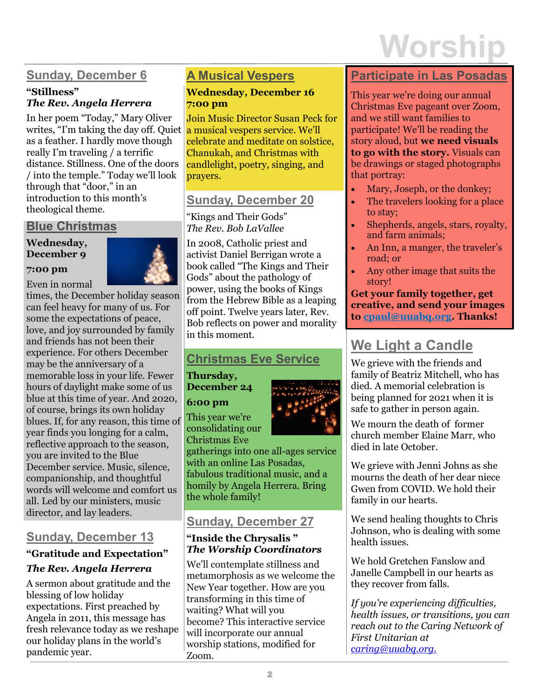# **Worship**

# **Sunday, December 6**

#### **"Stillness"**  *The Rev. Angela Herrera*

In her poem "Today," Mary Oliver writes, "I'm taking the day off. Quiet as a feather. I hardly move though really I'm traveling / a terrific distance. Stillness. One of the doors / into the temple." Today we'll look through that "door," in an introduction to this month's theological theme.

#### **Blue Christmas**

#### **Wednesday, December 9**



Even in normal

**7:00 pm**

times, the December holiday season can feel heavy for many of us. For some the expectations of peace, love, and joy surrounded by family and friends has not been their experience. For others December may be the anniversary of a memorable loss in your life. Fewer hours of daylight make some of us blue at this time of year. And 2020, of course, brings its own holiday blues. If, for any reason, this time of year finds you longing for a calm, reflective approach to the season, you are invited to the Blue December service. Music, silence, companionship, and thoughtful words will welcome and comfort us all. Led by our ministers, music director, and lay leaders.

# **Sunday, December 13**

#### **"Gratitude and Expectation"**  *The Rev. Angela Herrera*

A sermon about gratitude and the blessing of low holiday expectations. First preached by Angela in 2011, this message has fresh relevance today as we reshape our holiday plans in the world's pandemic year.

# **A Musical Vespers**

#### **Wednesday, December 16 7:00 pm**

Join Music Director Susan Peck for a musical vespers service. We'll celebrate and meditate on solstice, Chanukah, and Christmas with candlelight, poetry, singing, and prayers.

# **Sunday, December 20**

"Kings and Their Gods" *The Rev. Bob LaVallee*

In 2008, Catholic priest and activist Daniel Berrigan wrote a book called "The Kings and Their Gods" about the pathology of power, using the books of Kings from the Hebrew Bible as a leaping off point. Twelve years later, Rev. Bob reflects on power and morality in this moment.

# **Christmas Eve Service**

**Thursday, December 24** 

**6:00 pm**

This year we're consolidating our Christmas Eve

gatherings into one all-ages service with an online Las Posadas, fabulous traditional music, and a homily by Angela Herrera. Bring the whole family!

# **Sunday, December 27**

#### **"Inside the Chrysalis "**  *The Worship Coordinators*

We'll contemplate stillness and metamorphosis as we welcome the New Year together. How are you transforming in this time of waiting? What will you become? This interactive service will incorporate our annual worship stations, modified for Zoom.

#### **Participate in Las Posadas**

This year we're doing our annual Christmas Eve pageant over Zoom, and we still want families to participate! We'll be reading the story aloud, but **we need visuals to go with the story.** Visuals can be drawings or staged photographs that portray:

- Mary, Joseph, or the donkey;
- The travelers looking for a place to stay;
- Shepherds, angels, stars, royalty, and farm animals;
- An Inn, a manger, the traveler's road; or
- Any other image that suits the story!

**Get your family together, get creative, and send your images to [cpaul@uuabq.org.](mailto:cpaul@uuabq.org) Thanks!**

# **We Light a Candle**

We grieve with the friends and family of Beatriz Mitchell, who has died. A memorial celebration is being planned for 2021 when it is safe to gather in person again.

We mourn the death of former church member Elaine Marr, who died in late October.

We grieve with Jenni Johns as she mourns the death of her dear niece Gwen from COVID. We hold their family in our hearts.

We send healing thoughts to Chris Johnson, who is dealing with some health issues.

We hold Gretchen Fanslow and Janelle Campbell in our hearts as they recover from falls.

*If you're experiencing difficulties, health issues, or transitions, you can reach out to the Caring Network of First Unitarian at caring@uuabq.org.*

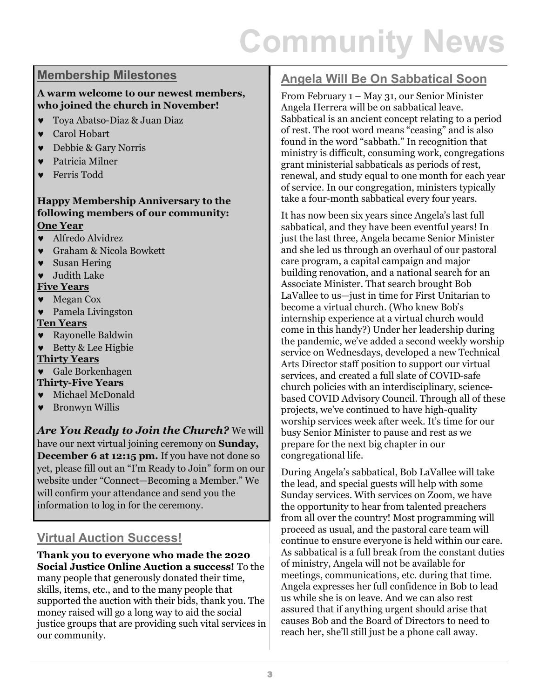# **Community News**

#### **Membership Milestones**

#### **A warm welcome to our newest members, who joined the church in November!**

- Toya Abatso-Diaz & Juan Diaz
- Carol Hobart
- Debbie & Gary Norris
- Patricia Milner
- Ferris Todd

#### **Happy Membership Anniversary to the following members of our community: One Year**

- Alfredo Alvidrez
- Graham & Nicola Bowkett
- Susan Hering
- Judith Lake

#### **Five Years**

- Megan Cox
- Pamela Livingston

#### **Ten Years**

- Rayonelle Baldwin
- Betty & Lee Higbie

#### **Thirty Years**

- Gale Borkenhagen **Thirty-Five Years**
- Michael McDonald
- Bronwyn Willis

*Are You Ready to Join the Church?* We will have our next virtual joining ceremony on **Sunday, December 6 at 12:15 pm.** If you have not done so yet, please fill out an "I'm Ready to Join" form on our website under "Connect—Becoming a Member." We will confirm your attendance and send you the information to log in for the ceremony.

# **Virtual Auction Success!**

**Thank you to everyone who made the 2020 Social Justice Online Auction a success!** To the many people that generously donated their time, skills, items, etc., and to the many people that supported the auction with their bids, thank you. The money raised will go a long way to aid the social justice groups that are providing such vital services in our community.

### **Angela Will Be On Sabbatical Soon**

From February 1 – May 31, our Senior Minister Angela Herrera will be on sabbatical leave. Sabbatical is an ancient concept relating to a period of rest. The root word means "ceasing" and is also found in the word "sabbath." In recognition that ministry is difficult, consuming work, congregations grant ministerial sabbaticals as periods of rest, renewal, and study equal to one month for each year of service. In our congregation, ministers typically take a four-month sabbatical every four years.

It has now been six years since Angela's last full sabbatical, and they have been eventful years! In just the last three, Angela became Senior Minister and she led us through an overhaul of our pastoral care program, a capital campaign and major building renovation, and a national search for an Associate Minister. That search brought Bob LaVallee to us—just in time for First Unitarian to become a virtual church. (Who knew Bob's internship experience at a virtual church would come in this handy?) Under her leadership during the pandemic, we've added a second weekly worship service on Wednesdays, developed a new Technical Arts Director staff position to support our virtual services, and created a full slate of COVID-safe church policies with an interdisciplinary, sciencebased COVID Advisory Council. Through all of these projects, we've continued to have high-quality worship services week after week. It's time for our busy Senior Minister to pause and rest as we prepare for the next big chapter in our congregational life.

During Angela's sabbatical, Bob LaVallee will take the lead, and special guests will help with some Sunday services. With services on Zoom, we have the opportunity to hear from talented preachers from all over the country! Most programming will proceed as usual, and the pastoral care team will continue to ensure everyone is held within our care. As sabbatical is a full break from the constant duties of ministry, Angela will not be available for meetings, communications, etc. during that time. Angela expresses her full confidence in Bob to lead us while she is on leave. And we can also rest assured that if anything urgent should arise that causes Bob and the Board of Directors to need to reach her, she'll still just be a phone call away.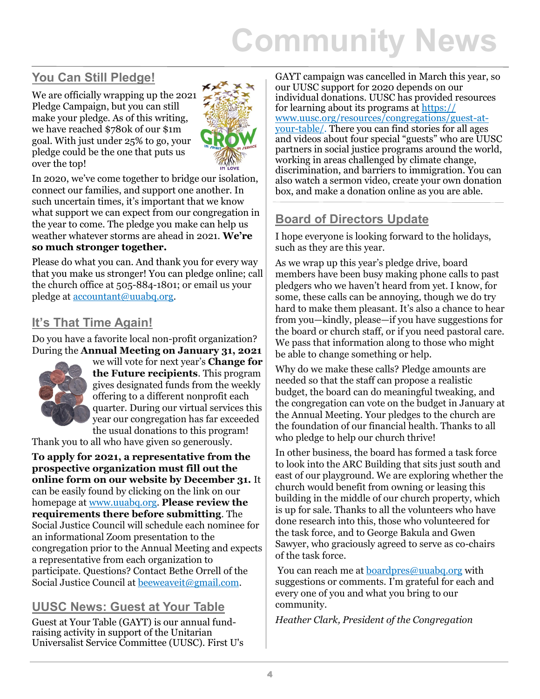# **Community News**

# **You Can Still Pledge!**

We are officially wrapping up the 2021 Pledge Campaign, but you can still make your pledge. As of this writing, we have reached \$780k of our \$1m goal. With just under 25% to go, your pledge could be the one that puts us over the top!



In 2020, we've come together to bridge our isolation, connect our families, and support one another. In such uncertain times, it's important that we know what support we can expect from our congregation in the year to come. The pledge you make can help us weather whatever storms are ahead in 2021. **We're so much stronger together.** 

Please do what you can. And thank you for every way that you make us stronger! You can pledge online; call the church office at 505-884-1801; or email us your pledge at accountant@uuabq.org.

# **It's That Time Again!**

Do you have a favorite local non-profit organization? During the **Annual Meeting on January 31, 2021** 



we will vote for next year's **Change for the Future recipients**. This program gives designated funds from the weekly offering to a different nonprofit each quarter. During our virtual services this year our congregation has far exceeded the usual donations to this program!

Thank you to all who have given so generously.

**To apply for 2021, a representative from the prospective organization must fill out the online form on our website by December 31.** It can be easily found by clicking on the link on our homepage at www.uuabq.org. **Please review the requirements there before submitting**. The Social Justice Council will schedule each nominee for an informational Zoom presentation to the congregation prior to the Annual Meeting and expects a representative from each organization to participate. Questions? Contact Bethe Orrell of the Social Justice Council at beeweaveit@gmail.com.

# **UUSC News: Guest at Your Table**

Guest at Your Table (GAYT) is our annual fundraising activity in support of the Unitarian Universalist Service Committee (UUSC). First U's GAYT campaign was cancelled in March this year, so our UUSC support for 2020 depends on our individual donations. UUSC has provided resources for learning about its programs at [https://](https://www.uusc.org/resources/congregations/guest-at-your-table/) [www.uusc.org/resources/congregations/guest](https://www.uusc.org/resources/congregations/guest-at-your-table/)-atyour-[table/.](https://www.uusc.org/resources/congregations/guest-at-your-table/) There you can find stories for all ages and videos about four special "guests" who are UUSC partners in social justice programs around the world, working in areas challenged by climate change, discrimination, and barriers to immigration. You can also watch a sermon video, create your own donation box, and make a donation online as you are able.

#### **Board of Directors Update**

I hope everyone is looking forward to the holidays, such as they are this year.

As we wrap up this year's pledge drive, board members have been busy making phone calls to past pledgers who we haven't heard from yet. I know, for some, these calls can be annoying, though we do try hard to make them pleasant. It's also a chance to hear from you—kindly, please—if you have suggestions for the board or church staff, or if you need pastoral care. We pass that information along to those who might be able to change something or help.

Why do we make these calls? Pledge amounts are needed so that the staff can propose a realistic budget, the board can do meaningful tweaking, and the congregation can vote on the budget in January at the Annual Meeting. Your pledges to the church are the foundation of our financial health. Thanks to all who pledge to help our church thrive!

In other business, the board has formed a task force to look into the ARC Building that sits just south and east of our playground. We are exploring whether the church would benefit from owning or leasing this building in the middle of our church property, which is up for sale. Thanks to all the volunteers who have done research into this, those who volunteered for the task force, and to George Bakula and Gwen Sawyer, who graciously agreed to serve as co-chairs of the task force.

You can reach me at boardpres@uuabq.org with suggestions or comments. I'm grateful for each and every one of you and what you bring to our community.

*Heather Clark, President of the Congregation*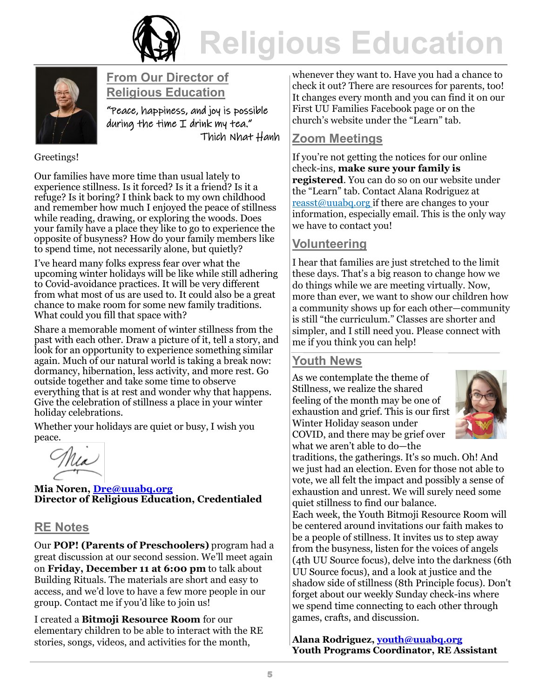



#### **From Our Director of Religious Education**

"Peace, happiness, and joy is possible during the time I drink my tea." Thich Nhat Hanh

#### Greetings!

Our families have more time than usual lately to experience stillness. Is it forced? Is it a friend? Is it a refuge? Is it boring? I think back to my own childhood and remember how much I enjoyed the peace of stillness while reading, drawing, or exploring the woods. Does your family have a place they like to go to experience the opposite of busyness? How do your family members like to spend time, not necessarily alone, but quietly?

I've heard many folks express fear over what the upcoming winter holidays will be like while still adhering to Covid-avoidance practices. It will be very different from what most of us are used to. It could also be a great chance to make room for some new family traditions. What could you fill that space with?

Share a memorable moment of winter stillness from the past with each other. Draw a picture of it, tell a story, and look for an opportunity to experience something similar again. Much of our natural world is taking a break now: dormancy, hibernation, less activity, and more rest. Go outside together and take some time to observe everything that is at rest and wonder why that happens. Give the celebration of stillness a place in your winter holiday celebrations.

Whether your holidays are quiet or busy, I wish you peace.

Nea

**Mia Noren, [Dre@uuabq.org](mailto:Dre@uuabq.org) Director of Religious Education, Credentialed**

#### **RE Notes**

Our **POP! (Parents of Preschoolers)** program had a great discussion at our second session. We'll meet again on **Friday, December 11 at 6:00 pm** to talk about Building Rituals. The materials are short and easy to access, and we'd love to have a few more people in our group. Contact me if you'd like to join us!

I created a **Bitmoji Resource Room** for our elementary children to be able to interact with the RE stories, songs, videos, and activities for the month,

whenever they want to. Have you had a chance to check it out? There are resources for parents, too! It changes every month and you can find it on our First UU Families Facebook page or on the church's website under the "Learn" tab.

#### **Zoom Meetings**

If you're not getting the notices for our online check-ins, **make sure your family is registered**. You can do so on our website under the "Learn" tab. Contact Alana Rodriguez at reasst@uuabq.org if there are changes to your information, especially email. This is the only way we have to contact you!

#### **Volunteering**

I hear that families are just stretched to the limit these days. That's a big reason to change how we do things while we are meeting virtually. Now, more than ever, we want to show our children how a community shows up for each other—community is still "the curriculum." Classes are shorter and simpler, and I still need you. Please connect with me if you think you can help!

#### **Youth News**

As we contemplate the theme of Stillness, we realize the shared feeling of the month may be one of exhaustion and grief. This is our first Winter Holiday season under COVID, and there may be grief over what we aren't able to do—the



traditions, the gatherings. It's so much. Oh! And we just had an election. Even for those not able to vote, we all felt the impact and possibly a sense of exhaustion and unrest. We will surely need some quiet stillness to find our balance.

Each week, the Youth Bitmoji Resource Room will be centered around invitations our faith makes to be a people of stillness. It invites us to step away from the busyness, listen for the voices of angels (4th UU Source focus), delve into the darkness (6th UU Source focus), and a look at justice and the shadow side of stillness (8th Principle focus). Don't forget about our weekly Sunday check-ins where we spend time connecting to each other through games, crafts, and discussion.

**Alana Rodriguez, [youth@uuabq.org](mailto:youth@uuabq.org) Youth Programs Coordinator, RE Assistant**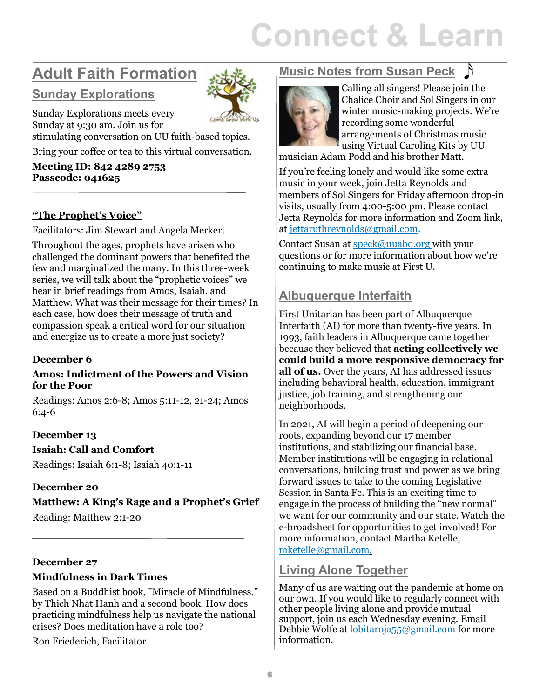# **Connect & Learn**

# **Adult Faith Formation**

# **Sunday Explorations**



Sunday Explorations meets every Sunday at 9:30 am. Join us for stimulating conversation on UU faith-based topics.

Bring your coffee or tea to this virtual conversation.

**Meeting ID: 842 4289 2753 Passcode: 041625**

#### **"The Prophet's Voice"**

Facilitators: Jim Stewart and Angela Merkert

Throughout the ages, prophets have arisen who challenged the dominant powers that benefited the few and marginalized the many. In this three-week series, we will talk about the "prophetic voices" we hear in brief readings from Amos, Isaiah, and Matthew. What was their message for their times? In each case, how does their message of truth and compassion speak a critical word for our situation and energize us to create a more just society?

#### **December 6**

#### **Amos: Indictment of the Powers and Vision for the Poor**

Readings: Amos 2:6-8; Amos 5:11-12, 21-24; Amos 6:4-6

#### **December 13**

#### **Isaiah: Call and Comfort**

Readings: Isaiah 6:1-8; Isaiah 40:1-11

#### **December 20**

**Matthew: A King's Rage and a Prophet's Grief** Reading: Matthew 2:1-20

#### **December 27**

#### **Mindfulness in Dark Times**

Based on a Buddhist book, "Miracle of Mindfulness," by Thich Nhat Hanh and a second book. How does practicing mindfulness help us navigate the national crises? Does meditation have a role too?

Ron Friederich, Facilitator

# **Music Notes from Susan Peck**



Calling all singers! Please join the Chalice Choir and Sol Singers in our winter music-making projects. We're recording some wonderful arrangements of Christmas music using Virtual Caroling Kits by UU

musician Adam Podd and his brother Matt.

If you're feeling lonely and would like some extra music in your week, join Jetta Reynolds and members of Sol Singers for Friday afternoon drop-in visits, usually from 4:00-5:00 pm. Please contact Jetta Reynolds for more information and Zoom link, at jettaruthreynolds@gmail.com.

Contact Susan at speck@uuabq.org with your questions or for more information about how we're continuing to make music at First U.

# **Albuquerque Interfaith**

First Unitarian has been part of Albuquerque Interfaith (AI) for more than twenty-five years. In 1993, faith leaders in Albuquerque came together because they believed that **acting collectively we could build a more responsive democracy for all of us.** Over the years, AI has addressed issues including behavioral health, education, immigrant justice, job training, and strengthening our neighborhoods.

In 2021, AI will begin a period of deepening our roots, expanding beyond our 17 member institutions, and stabilizing our financial base. Member institutions will be engaging in relational conversations, building trust and power as we bring forward issues to take to the coming Legislative Session in Santa Fe. This is an exciting time to engage in the process of building the "new normal" we want for our community and our state. Watch the e-broadsheet for opportunities to get involved! For more information, contact Martha Ketelle, mketelle@gmail.com.

#### **Living Alone Together**

Many of us are waiting out the pandemic at home on our own. If you would like to regularly connect with other people living alone and provide mutual support, join us each Wednesday evening. Email Debbie Wolfe at lobitaroja55@gmail.com for more information.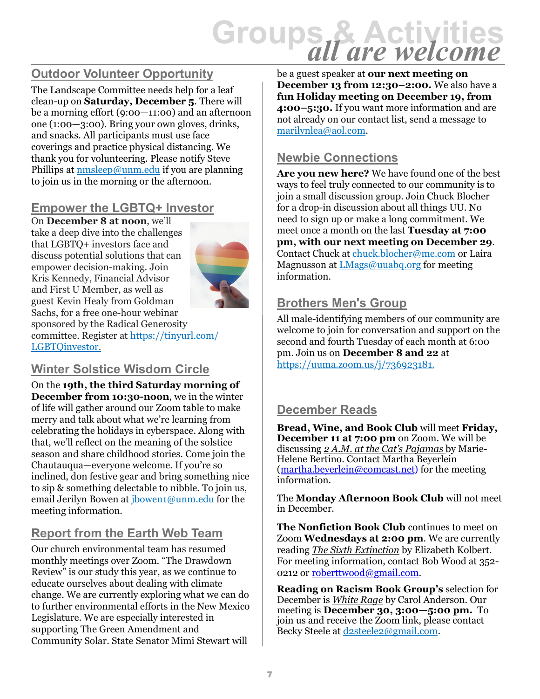# **Groups & Activities** *all are welcome*

# **Outdoor Volunteer Opportunity**

The Landscape Committee needs help for a leaf clean-up on **Saturday, December 5**. There will be a morning effort (9:00—11:00) and an afternoon one (1:00—3:00). Bring your own gloves, drinks, and snacks. All participants must use face coverings and practice physical distancing. We thank you for volunteering. Please [notify Steve](mailto:nmsleep@unm.edu)  [Phillips](mailto:nmsleep@unm.edu) at nmsleep@unm.edu if you are planning to join us in the morning or the afternoon.

# **Empower the LGBTQ+ Investor**

On **December 8 at noon**, we'll take a deep dive into the challenges that LGBTQ+ investors face and discuss potential solutions that can empower decision-making. Join Kris Kennedy, Financial Advisor and First U Member, as well as guest Kevin Healy from Goldman Sachs, for a free one-hour webinar sponsored by the Radical Generosity committee. Register at https://tinyurl.com/ LGBTQinvestor.



#### **Winter Solstice Wisdom Circle**

On the **19th, the third Saturday morning of December from 10:30-noon**, we in the winter of life will gather around our Zoom table to make merry and talk about what we're learning from celebrating the holidays in cyberspace. Along with that, we'll reflect on the meaning of the solstice season and share childhood stories. Come join the Chautauqua—everyone welcome. If you're so inclined, don festive gear and bring something nice to sip & something delectable to nibble. To join us, email Jerilyn Bowen at *jbowen1@unm.edu* for the meeting information.

# **Report from the Earth Web Team**

Our church environmental team has resumed monthly meetings over Zoom. "The Drawdown Review" is our study this year, as we continue to educate ourselves about dealing with climate change. We are currently exploring what we can do to further environmental efforts in the New Mexico Legislature. We are especially interested in supporting The Green Amendment and Community Solar. State Senator Mimi Stewart will

be a guest speaker at **our next meeting on December 13 from 12:30–2:00.** We also have a **fun Holiday meeting on December 19, from 4:00–5:30.** If you want more information and are not already on our contact list, send a message to marilynlea@aol.com.

#### **Newbie Connections**

**Are you new here?** We have found one of the best ways to feel truly connected to our community is to join a small discussion group. Join Chuck Blocher for a drop-in discussion about all things UU. No need to sign up or make a long commitment. We meet once a month on the last **Tuesday at 7:00 pm, with our next meeting on December 29**. Contact Chuck at chuck.blocher@me.com or Laira Magnusson at LMags@uuabq.org for meeting information.

#### **Brothers Men's Group**

All male-identifying members of our community are welcome to join for conversation and support on the second and fourth Tuesday of each month at 6:00 pm. Join us on **December 8 and 22** at https://uuma.zoom.us/j/736923181.

# **December Reads**

**Bread, Wine, and Book Club** will meet **Friday, December 11 at 7:00 pm** on Zoom. We will be discussing *2 A.M. at the Cat's Pajamas* by Marie-Helene Bertino. Contact Martha Beyerlein (martha.beyerlein@comcast.net) for the meeting information.

The **Monday Afternoon Book Club** will not meet in December.

**The Nonfiction Book Club** continues to meet on Zoom **Wednesdays at 2:00 pm**. We are currently reading *The Sixth Extinction* by Elizabeth Kolbert. For meeting information, contact Bob Wood at 352- 0212 or roberttwood@gmail.com.

**Reading on Racism Book Group's** selection for December is *White Rage* by Carol Anderson. Our meeting is **December 30, 3:00—5:00 pm.** To join us and receive the Zoom link, please contact Becky Steele at d2steele2@gmail.com.